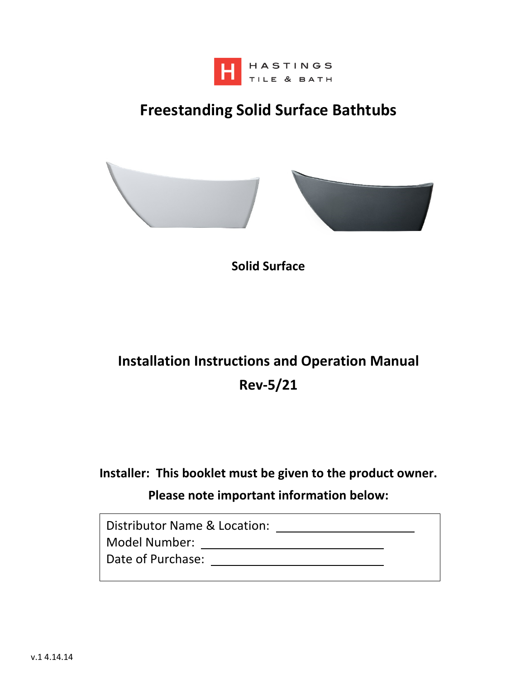

## **Freestanding Solid Surface Bathtubs**



**Solid Surface** 

## **Installation Instructions and Operation Manual Rev-5/21**

## **Installer: This booklet must be given to the product owner. Please note important information below:**

| Distributor Name & Location: |  |
|------------------------------|--|
| Model Number:                |  |
| Date of Purchase:            |  |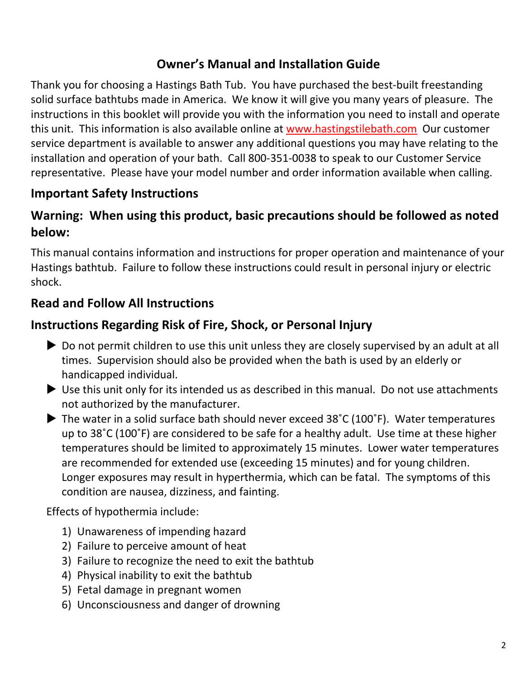## **Owner's Manual and Installation Guide**

Thank you for choosing a Hastings Bath Tub. You have purchased the best-built freestanding solid surface bathtubs made in America. We know it will give you many years of pleasure. The instructions in this booklet will provide you with the information you need to install and operate this unit. This information is also available online at www.hastingstilebath.com Our customer service department is available to answer any additional questions you may have relating to the installation and operation of your bath. Call 800-351-0038 to speak to our Customer Service representative. Please have your model number and order information available when calling.

## **Important Safety Instructions**

### **Warning: When using this product, basic precautions should be followed as noted below:**

This manual contains information and instructions for proper operation and maintenance of your Hastings bathtub. Failure to follow these instructions could result in personal injury or electric shock.

### **Read and Follow All Instructions**

### **Instructions Regarding Risk of Fire, Shock, or Personal Injury**

- Do not permit children to use this unit unless they are closely supervised by an adult at all times. Supervision should also be provided when the bath is used by an elderly or handicapped individual.
- Use this unit only for its intended us as described in this manual. Do not use attachments not authorized by the manufacturer.
- ▶ The water in a solid surface bath should never exceed 38°C (100°F). Water temperatures up to 38˚C (100˚F) are considered to be safe for a healthy adult. Use time at these higher temperatures should be limited to approximately 15 minutes. Lower water temperatures are recommended for extended use (exceeding 15 minutes) and for young children. Longer exposures may result in hyperthermia, which can be fatal. The symptoms of this condition are nausea, dizziness, and fainting.

Effects of hypothermia include:

- 1) Unawareness of impending hazard
- 2) Failure to perceive amount of heat
- 3) Failure to recognize the need to exit the bathtub
- 4) Physical inability to exit the bathtub
- 5) Fetal damage in pregnant women
- 6) Unconsciousness and danger of drowning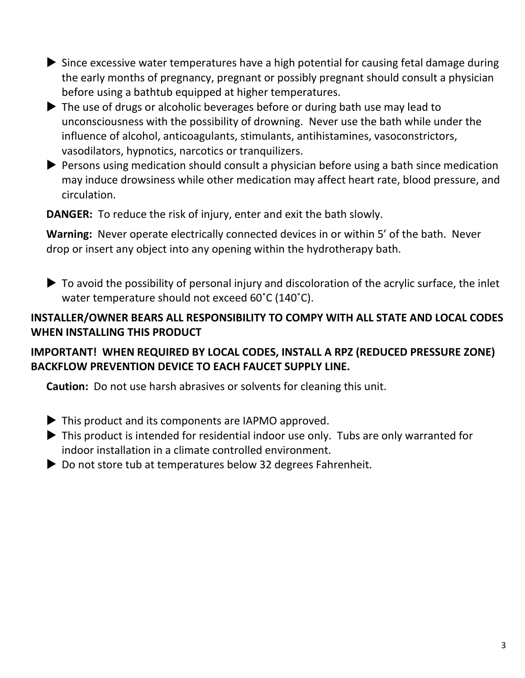- Since excessive water temperatures have a high potential for causing fetal damage during the early months of pregnancy, pregnant or possibly pregnant should consult a physician before using a bathtub equipped at higher temperatures.
- ▶ The use of drugs or alcoholic beverages before or during bath use may lead to unconsciousness with the possibility of drowning. Never use the bath while under the influence of alcohol, anticoagulants, stimulants, antihistamines, vasoconstrictors, vasodilators, hypnotics, narcotics or tranquilizers.
- **Persons using medication should consult a physician before using a bath since medication** may induce drowsiness while other medication may affect heart rate, blood pressure, and circulation.

**DANGER:** To reduce the risk of injury, enter and exit the bath slowly.

**Warning:** Never operate electrically connected devices in or within 5' of the bath. Never drop or insert any object into any opening within the hydrotherapy bath.

 $\triangleright$  To avoid the possibility of personal injury and discoloration of the acrylic surface, the inlet water temperature should not exceed 60˚C (140˚C).

### **INSTALLER/OWNER BEARS ALL RESPONSIBILITY TO COMPY WITH ALL STATE AND LOCAL CODES WHEN INSTALLING THIS PRODUCT**

### **IMPORTANT! WHEN REQUIRED BY LOCAL CODES, INSTALL A RPZ (REDUCED PRESSURE ZONE) BACKFLOW PREVENTION DEVICE TO EACH FAUCET SUPPLY LINE.**

**Caution:** Do not use harsh abrasives or solvents for cleaning this unit.

- $\blacktriangleright$  This product and its components are IAPMO approved.
- ▶ This product is intended for residential indoor use only. Tubs are only warranted for indoor installation in a climate controlled environment.
- ▶ Do not store tub at temperatures below 32 degrees Fahrenheit.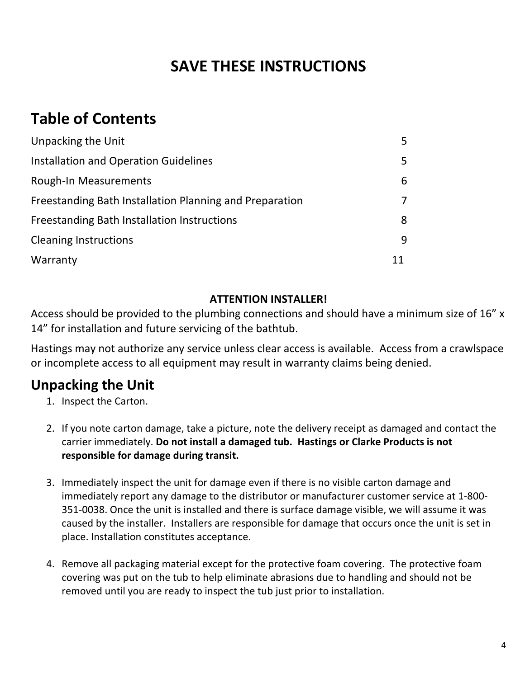## **SAVE THESE INSTRUCTIONS**

## **Table of Contents**

| Unpacking the Unit                                      | 5. |
|---------------------------------------------------------|----|
| Installation and Operation Guidelines                   | 5  |
| Rough-In Measurements                                   | 6  |
| Freestanding Bath Installation Planning and Preparation | 7  |
| Freestanding Bath Installation Instructions             | 8  |
| <b>Cleaning Instructions</b>                            | 9  |
| Warranty                                                | 11 |

#### **ATTENTION INSTALLER!**

Access should be provided to the plumbing connections and should have a minimum size of 16" x 14" for installation and future servicing of the bathtub.

Hastings may not authorize any service unless clear access is available. Access from a crawlspace or incomplete access to all equipment may result in warranty claims being denied.

## **Unpacking the Unit**

- 1. Inspect the Carton.
- 2. If you note carton damage, take a picture, note the delivery receipt as damaged and contact the carrier immediately. **Do not install a damaged tub. Hastings or Clarke Products is not responsible for damage during transit.**
- 3. Immediately inspect the unit for damage even if there is no visible carton damage and immediately report any damage to the distributor or manufacturer customer service at 1-800- 351-0038. Once the unit is installed and there is surface damage visible, we will assume it was caused by the installer. Installers are responsible for damage that occurs once the unit is set in place. Installation constitutes acceptance.
- 4. Remove all packaging material except for the protective foam covering. The protective foam covering was put on the tub to help eliminate abrasions due to handling and should not be removed until you are ready to inspect the tub just prior to installation.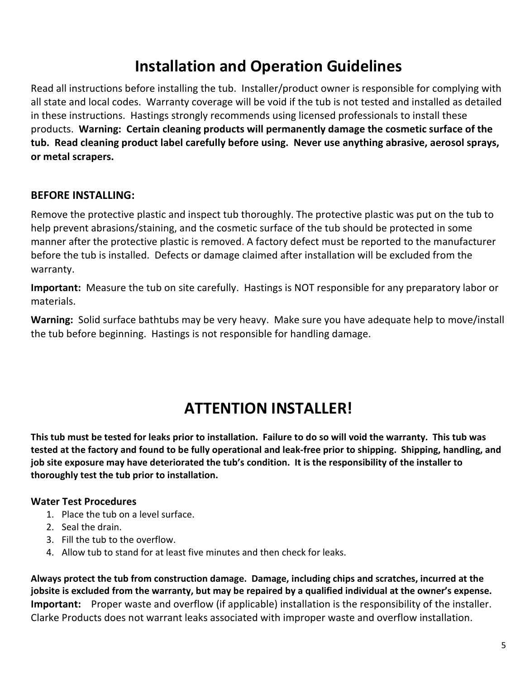## **Installation and Operation Guidelines**

Read all instructions before installing the tub. Installer/product owner is responsible for complying with all state and local codes. Warranty coverage will be void if the tub is not tested and installed as detailed in these instructions. Hastings strongly recommends using licensed professionals to install these products. **Warning: Certain cleaning products will permanently damage the cosmetic surface of the tub. Read cleaning product label carefully before using. Never use anything abrasive, aerosol sprays, or metal scrapers.** 

#### **BEFORE INSTALLING:**

Remove the protective plastic and inspect tub thoroughly. The protective plastic was put on the tub to help prevent abrasions/staining, and the cosmetic surface of the tub should be protected in some manner after the protective plastic is removed. A factory defect must be reported to the manufacturer before the tub is installed. Defects or damage claimed after installation will be excluded from the warranty.

**Important:** Measure the tub on site carefully. Hastings is NOT responsible for any preparatory labor or materials.

**Warning:** Solid surface bathtubs may be very heavy. Make sure you have adequate help to move/install the tub before beginning. Hastings is not responsible for handling damage.

## **ATTENTION INSTALLER!**

**This tub must be tested for leaks prior to installation. Failure to do so will void the warranty. This tub was tested at the factory and found to be fully operational and leak-free prior to shipping. Shipping, handling, and job site exposure may have deteriorated the tub's condition. It is the responsibility of the installer to thoroughly test the tub prior to installation.** 

#### **Water Test Procedures**

- 1. Place the tub on a level surface.
- 2. Seal the drain.
- 3. Fill the tub to the overflow.
- 4. Allow tub to stand for at least five minutes and then check for leaks.

**Always protect the tub from construction damage. Damage, including chips and scratches, incurred at the jobsite is excluded from the warranty, but may be repaired by a qualified individual at the owner's expense. Important:** Proper waste and overflow (if applicable) installation is the responsibility of the installer. Clarke Products does not warrant leaks associated with improper waste and overflow installation.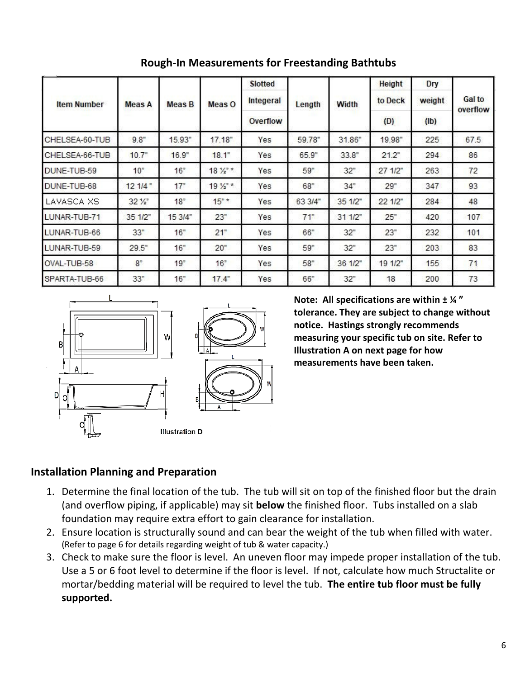| <b>Item Number</b> | <b>Meas A</b>   | <b>Meas B</b> | Meas O            | <b>Slotted</b><br>Integeral<br>Overflow | Length  | Width   | <b>Height</b><br>to Deck<br>(D) | Dry<br>weight<br>(I <sub>b</sub> ) | Gal to<br>overflow |                |                |        |          |     |        |       |        |     |      |
|--------------------|-----------------|---------------|-------------------|-----------------------------------------|---------|---------|---------------------------------|------------------------------------|--------------------|----------------|----------------|--------|----------|-----|--------|-------|--------|-----|------|
|                    |                 |               |                   |                                         |         |         |                                 |                                    |                    | CHELSEA-60-TUB | $9.8 -$        | 15.93" | 17.18"   | Yes | 59.78" | 31.86 | 19.98" | 225 | 67.5 |
|                    |                 |               |                   |                                         |         |         |                                 |                                    |                    | CHELSEA-66-TUB | $10.7^{\circ}$ | 16.9"  | $18.1$ " | Yes | 65.9"  | 33.8" | 21.2"  | 294 | 86   |
| DUNE-TUB-59        | $10^{v}$        | 16"           | $18\frac{1}{2}$ * | Yes                                     | 59"     | 32"     | 271/2                           | 263                                | 72                 |                |                |        |          |     |        |       |        |     |      |
| DUNE-TUB-68        | 121/4           | 17"           | $19\frac{1}{2}$ * | Yes                                     | 68"     | 34"     | 29"                             | 347                                | 93                 |                |                |        |          |     |        |       |        |     |      |
| LAVASCA XS         | $32\frac{1}{2}$ | 18"           | $15"$ *           | Yes                                     | 63 3/4" | 351/2   | 22 1/2"                         | 284                                | 48                 |                |                |        |          |     |        |       |        |     |      |
| LUNAR-TUB-71       | 35 1/2"         | 15 3/4"       | 23"               | Yes                                     | 71"     | 311/2   | 25"                             | 420                                | 107                |                |                |        |          |     |        |       |        |     |      |
| LUNAR-TUB-66       | 33"             | 16"           | 21"               | Yes                                     | 66"     | 32"     | 23"                             | 232                                | 101                |                |                |        |          |     |        |       |        |     |      |
| LUNAR-TUB-59       | 29.5            | 16"           | 20"               | Yes                                     | 59"     | 32"     | 23"                             | 203                                | 83                 |                |                |        |          |     |        |       |        |     |      |
| OVAL-TUB-58        | $8^{\circ}$     | 19"           | 16"               | Yes                                     | 58"     | 36 1/2" | 19 1/2"                         | 155                                | 71                 |                |                |        |          |     |        |       |        |     |      |
| SPARTA-TUB-66      | 33"             | 16"           | 17.4              | Yes                                     | 66"     | 32"     | 18                              | 200                                | 73                 |                |                |        |          |     |        |       |        |     |      |

**Rough-In Measurements for Freestanding Bathtubs** 



**Note: All specifications are within ± ¼ " tolerance. They are subject to change without notice. Hastings strongly recommends measuring your specific tub on site. Refer to Illustration A on next page for how measurements have been taken.** 

#### **Installation Planning and Preparation**

- 1. Determine the final location of the tub. The tub will sit on top of the finished floor but the drain (and overflow piping, if applicable) may sit **below** the finished floor. Tubs installed on a slab foundation may require extra effort to gain clearance for installation.
- 2. Ensure location is structurally sound and can bear the weight of the tub when filled with water. (Refer to page 6 for details regarding weight of tub & water capacity.)
- 3. Check to make sure the floor is level. An uneven floor may impede proper installation of the tub. Use a 5 or 6 foot level to determine if the floor is level. If not, calculate how much Structalite or mortar/bedding material will be required to level the tub. **The entire tub floor must be fully supported.**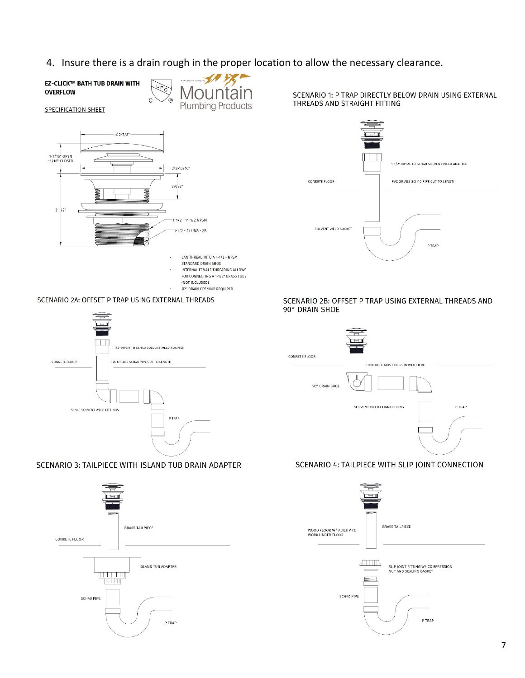4. Insure there is a drain rough in the proper location to allow the necessary clearance.

**EZ-CLICK™ BATH TUB DRAIN WITH OVERFLOW** 



**SPECIFICATION SHEET** 



 $\mathbf{C}$ 

CAN THREAD INTO A 1-1/2 - NPSM

 $\ddot{\phantom{0}}$ 

- STANDARD DRAIN SHOE
- INTERNAL FEMALE THREADING ALLOWS FOR CONNECTING A 1-1/2" BRASS TUBE
- (NOT INCLUDED) Ø2" DRAIN OPENING REQUIRED
- SCENARIO 2A: OFFSET P TRAP USING EXTERNAL THREADS



#### SCENARIO 3: TAILPIECE WITH ISLAND TUB DRAIN ADAPTER



SCENARIO 1: P TRAP DIRECTLY BELOW DRAIN USING EXTERNAL THREADS AND STRAIGHT FITTING



#### SCENARIO 2B: OFFSET P TRAP USING EXTERNAL THREADS AND 90° DRAIN SHOE



#### SCENARIO 4: TAILPIECE WITH SLIP JOINT CONNECTION

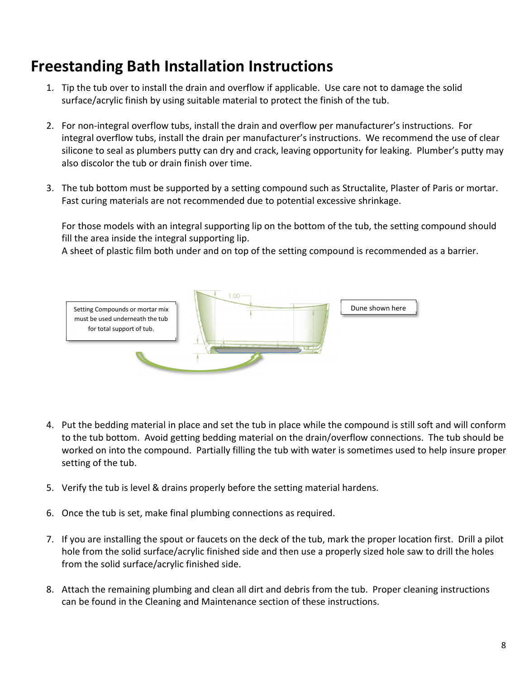## **Freestanding Bath Installation Instructions**

- 1. Tip the tub over to install the drain and overflow if applicable. Use care not to damage the solid surface/acrylic finish by using suitable material to protect the finish of the tub.
- 2. For non-integral overflow tubs, install the drain and overflow per manufacturer's instructions. For integral overflow tubs, install the drain per manufacturer's instructions. We recommend the use of clear silicone to seal as plumbers putty can dry and crack, leaving opportunity for leaking. Plumber's putty may also discolor the tub or drain finish over time.
- 3. The tub bottom must be supported by a setting compound such as Structalite, Plaster of Paris or mortar. Fast curing materials are not recommended due to potential excessive shrinkage.

For those models with an integral supporting lip on the bottom of the tub, the setting compound should fill the area inside the integral supporting lip.

A sheet of plastic film both under and on top of the setting compound is recommended as a barrier.



- 4. Put the bedding material in place and set the tub in place while the compound is still soft and will conform to the tub bottom. Avoid getting bedding material on the drain/overflow connections. The tub should be worked on into the compound. Partially filling the tub with water is sometimes used to help insure proper setting of the tub.
- 5. Verify the tub is level & drains properly before the setting material hardens.
- 6. Once the tub is set, make final plumbing connections as required.
- 7. If you are installing the spout or faucets on the deck of the tub, mark the proper location first. Drill a pilot hole from the solid surface/acrylic finished side and then use a properly sized hole saw to drill the holes from the solid surface/acrylic finished side.
- 8. Attach the remaining plumbing and clean all dirt and debris from the tub. Proper cleaning instructions can be found in the Cleaning and Maintenance section of these instructions.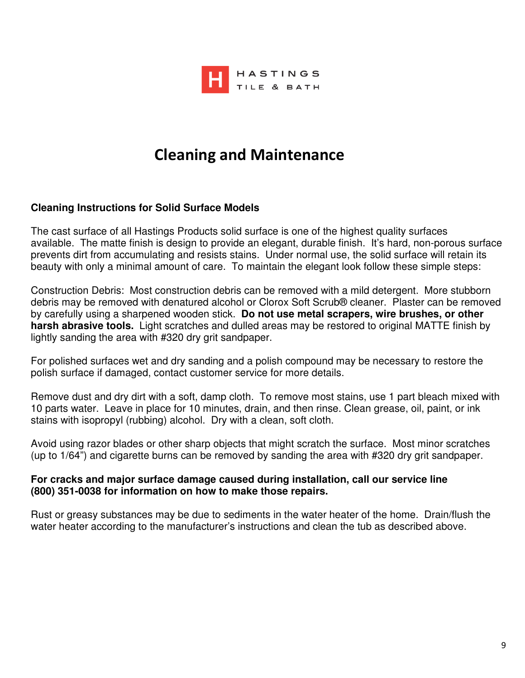

## **Cleaning and Maintenance**

#### **Cleaning Instructions for Solid Surface Models**

The cast surface of all Hastings Products solid surface is one of the highest quality surfaces available. The matte finish is design to provide an elegant, durable finish. It's hard, non-porous surface prevents dirt from accumulating and resists stains. Under normal use, the solid surface will retain its beauty with only a minimal amount of care. To maintain the elegant look follow these simple steps:

Construction Debris: Most construction debris can be removed with a mild detergent. More stubborn debris may be removed with denatured alcohol or Clorox Soft Scrub® cleaner. Plaster can be removed by carefully using a sharpened wooden stick. **Do not use metal scrapers, wire brushes, or other harsh abrasive tools.** Light scratches and dulled areas may be restored to original MATTE finish by lightly sanding the area with #320 dry grit sandpaper.

For polished surfaces wet and dry sanding and a polish compound may be necessary to restore the polish surface if damaged, contact customer service for more details.

Remove dust and dry dirt with a soft, damp cloth. To remove most stains, use 1 part bleach mixed with 10 parts water. Leave in place for 10 minutes, drain, and then rinse. Clean grease, oil, paint, or ink stains with isopropyl (rubbing) alcohol. Dry with a clean, soft cloth.

Avoid using razor blades or other sharp objects that might scratch the surface. Most minor scratches (up to 1/64") and cigarette burns can be removed by sanding the area with #320 dry grit sandpaper.

#### **For cracks and major surface damage caused during installation, call our service line (800) 351-0038 for information on how to make those repairs.**

Rust or greasy substances may be due to sediments in the water heater of the home. Drain/flush the water heater according to the manufacturer's instructions and clean the tub as described above.